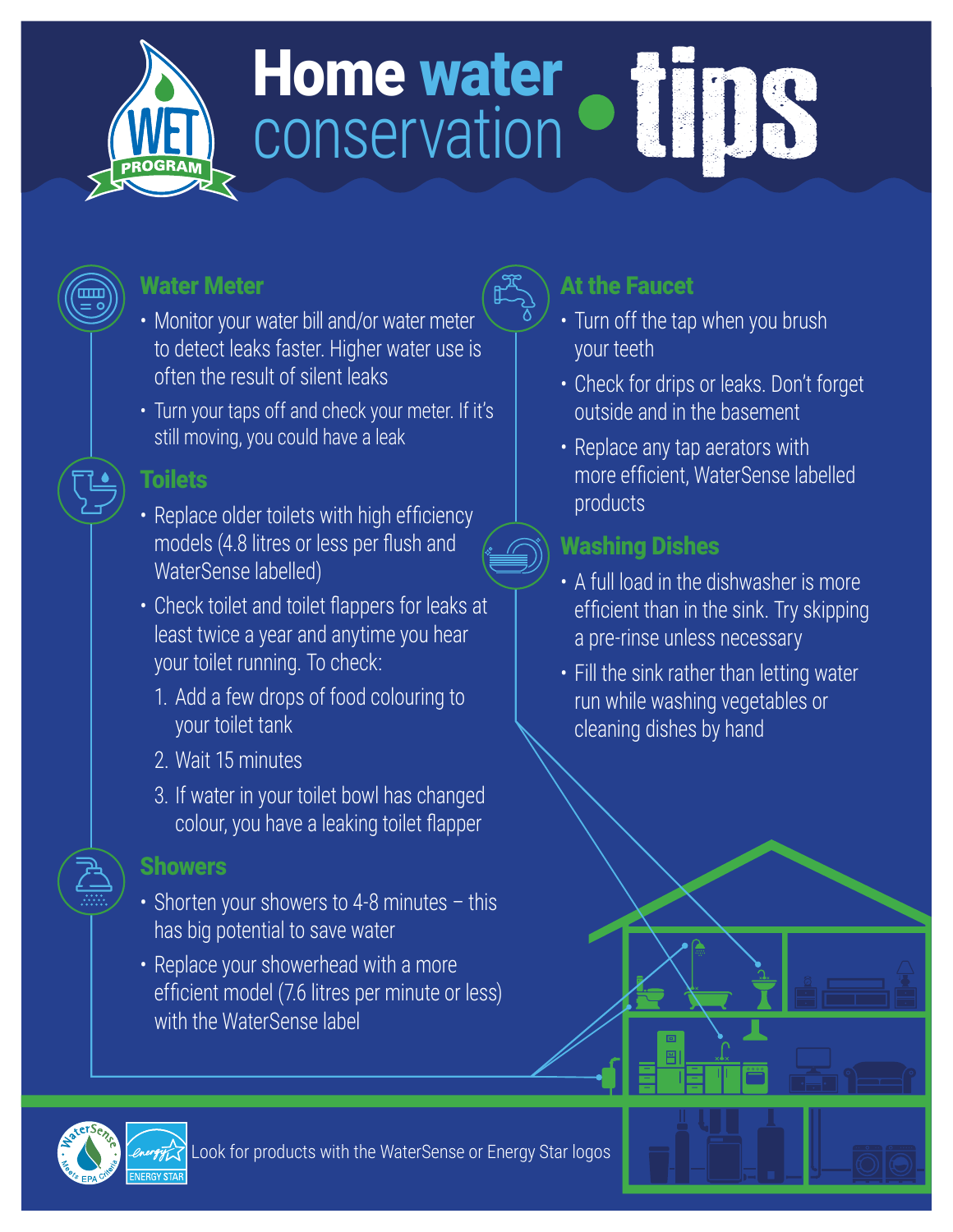

# Home water<br>conservation Call DS conservation

## Water Meter

- Monitor your water bill and/or water meter to detect leaks faster. Higher water use is often the result of silent leaks
- Turn your taps off and check your meter. If it's still moving, you could have a leak

## Toilets

- Replace older toilets with high efficiency models (4.8 litres or less per flush and WaterSense labelled)
- Check toilet and toilet flappers for leaks at least twice a year and anytime you hear your toilet running. To check:
	- 1. Add a few drops of food colouring to your toilet tank
	- 2. Wait 15 minutes
	- 3. If water in your toilet bowl has changed colour, you have a leaking toilet flapper

### **Showers**

- Shorten your showers to 4-8 minutes this has big potential to save water
- Replace your showerhead with a more efficient model (7.6 litres per minute or less) with the WaterSense label

# At the Faucet

- Turn off the tap when you brush your teeth
- Check for drips or leaks. Don't forget outside and in the basement
- Replace any tap aerators with more efficient, WaterSense labelled products

# Washing Dishes

- A full load in the dishwasher is more efficient than in the sink. Try skipping a pre-rinse unless necessary
- Fill the sink rather than letting water run while washing vegetables or cleaning dishes by hand



Look for products with the WaterSense or Energy Star logos